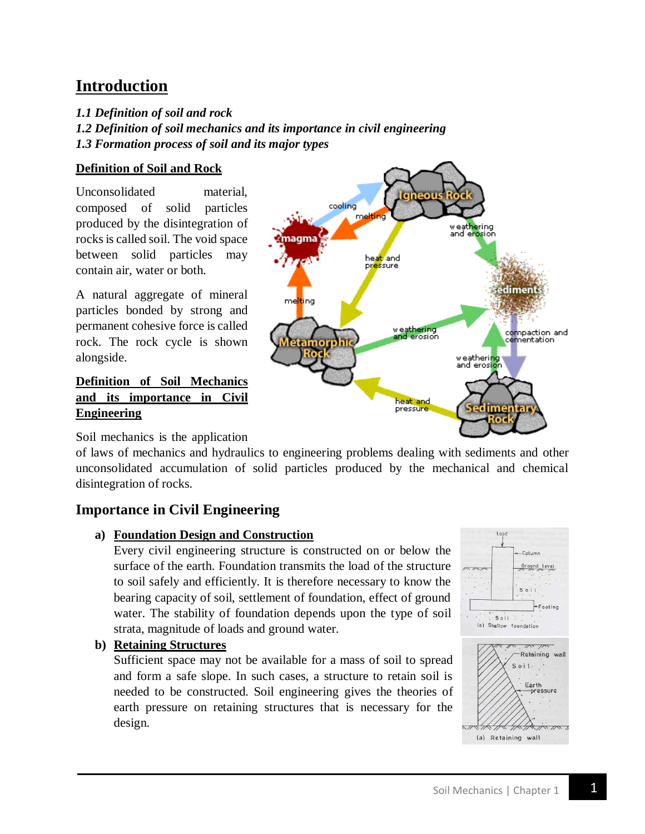# **Introduction**

- *1.1 Definition of soil and rock*
- *1.2 Definition of soil mechanics and its importance in civil engineering 1.3 Formation process of soil and its major types*

## **Definition of Soil and Rock**

Unconsolidated material, composed of solid particles produced by the disintegration of rocks is called soil. The void space between solid particles may contain air, water or both.

A natural aggregate of mineral particles bonded by strong and permanent cohesive force is called rock. The rock cycle is shown alongside.

#### **Definition of Soil Mechanics and its importance in Civil Engineering**



Soil mechanics is the application

of laws of mechanics and hydraulics to engineering problems dealing with sediments and other unconsolidated accumulation of solid particles produced by the mechanical and chemical disintegration of rocks.

## **Importance in Civil Engineering**

#### **a) Foundation Design and Construction**

Every civil engineering structure is constructed on or below the surface of the earth. Foundation transmits the load of the structure to soil safely and efficiently. It is therefore necessary to know the bearing capacity of soil, settlement of foundation, effect of ground water. The stability of foundation depends upon the type of soil strata, magnitude of loads and ground water.

**b) Retaining Structures**

Sufficient space may not be available for a mass of soil to spread and form a safe slope. In such cases, a structure to retain soil is needed to be constructed. Soil engineering gives the theories of earth pressure on retaining structures that is necessary for the design.

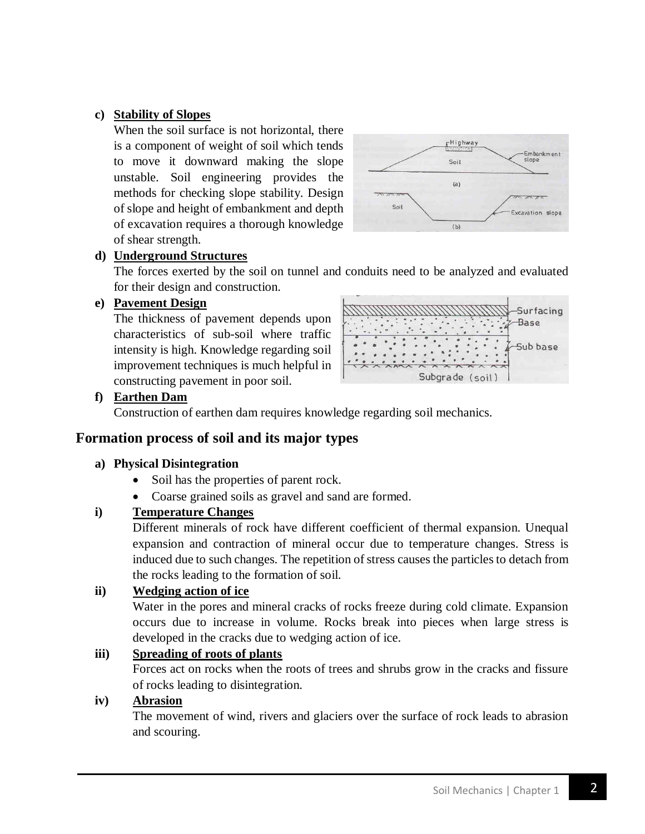## **c) Stability of Slopes**

When the soil surface is not horizontal, there is a component of weight of soil which tends to move it downward making the slope unstable. Soil engineering provides the methods for checking slope stability. Design of slope and height of embankment and depth of excavation requires a thorough knowledge of shear strength.



## **d) Underground Structures**

The forces exerted by the soil on tunnel and conduits need to be analyzed and evaluated for their design and construction.

#### **e) Pavement Design**

The thickness of pavement depends upon characteristics of sub-soil where traffic intensity is high. Knowledge regarding soil improvement techniques is much helpful in constructing pavement in poor soil.



#### **f) Earthen Dam**

Construction of earthen dam requires knowledge regarding soil mechanics.

# **Formation process of soil and its major types**

#### **a) Physical Disintegration**

- Soil has the properties of parent rock.
- Coarse grained soils as gravel and sand are formed.

## **i) Temperature Changes**

Different minerals of rock have different coefficient of thermal expansion. Unequal expansion and contraction of mineral occur due to temperature changes. Stress is induced due to such changes. The repetition of stress causes the particles to detach from the rocks leading to the formation of soil.

#### **ii) Wedging action of ice**

Water in the pores and mineral cracks of rocks freeze during cold climate. Expansion occurs due to increase in volume. Rocks break into pieces when large stress is developed in the cracks due to wedging action of ice.

#### **iii) Spreading of roots of plants**

Forces act on rocks when the roots of trees and shrubs grow in the cracks and fissure of rocks leading to disintegration.

#### **iv) Abrasion**

The movement of wind, rivers and glaciers over the surface of rock leads to abrasion and scouring.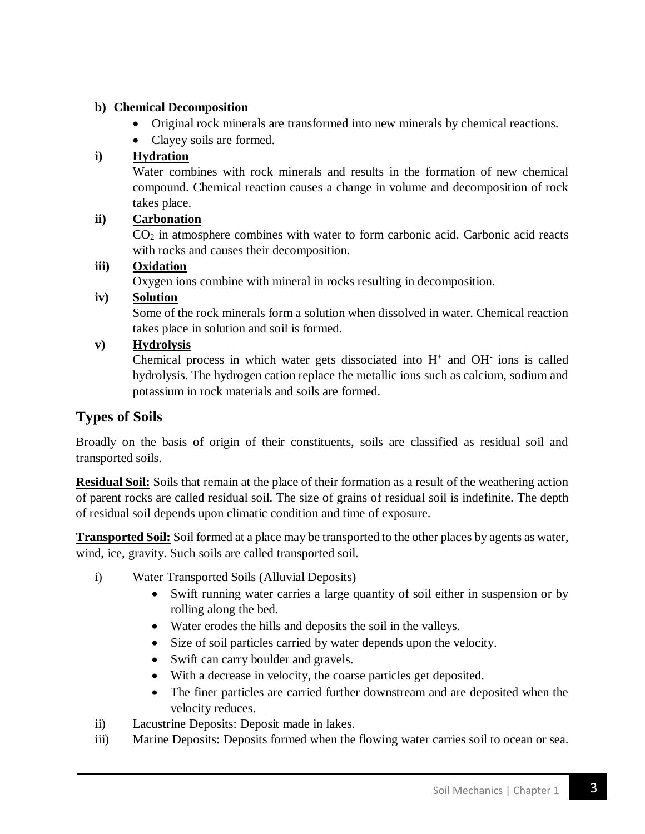## **b) Chemical Decomposition**

- Original rock minerals are transformed into new minerals by chemical reactions.
- Clayey soils are formed.

## **i) Hydration**

Water combines with rock minerals and results in the formation of new chemical compound. Chemical reaction causes a change in volume and decomposition of rock takes place.

## **ii) Carbonation**

 $CO<sub>2</sub>$  in atmosphere combines with water to form carbonic acid. Carbonic acid reacts with rocks and causes their decomposition.

#### **iii) Oxidation**

Oxygen ions combine with mineral in rocks resulting in decomposition.

## **iv) Solution**

Some of the rock minerals form a solution when dissolved in water. Chemical reaction takes place in solution and soil is formed.

## **v) Hydrolysis**

Chemical process in which water gets dissociated into  $H^+$  and  $OH^-$  ions is called hydrolysis. The hydrogen cation replace the metallic ions such as calcium, sodium and potassium in rock materials and soils are formed.

# **Types of Soils**

Broadly on the basis of origin of their constituents, soils are classified as residual soil and transported soils.

**Residual Soil:** Soils that remain at the place of their formation as a result of the weathering action of parent rocks are called residual soil. The size of grains of residual soil is indefinite. The depth of residual soil depends upon climatic condition and time of exposure.

**Transported Soil:** Soil formed at a place may be transported to the other places by agents as water, wind, ice, gravity. Such soils are called transported soil.

- i) Water Transported Soils (Alluvial Deposits)
	- Swift running water carries a large quantity of soil either in suspension or by rolling along the bed.
	- Water erodes the hills and deposits the soil in the valleys.
	- Size of soil particles carried by water depends upon the velocity.
	- Swift can carry boulder and gravels.
	- With a decrease in velocity, the coarse particles get deposited.
	- The finer particles are carried further downstream and are deposited when the velocity reduces.
- ii) Lacustrine Deposits: Deposit made in lakes.
- iii) Marine Deposits: Deposits formed when the flowing water carries soil to ocean or sea.